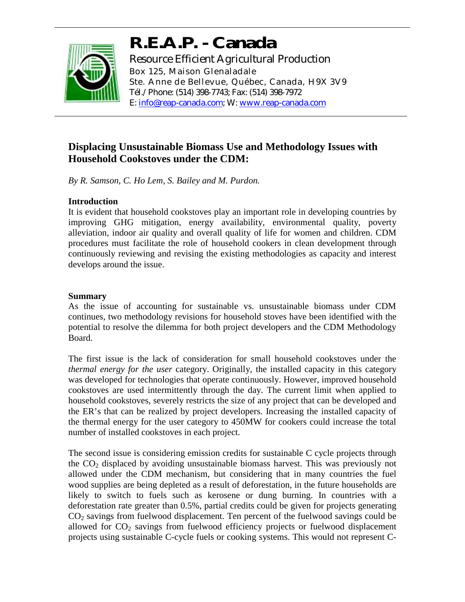

# **R.E.A.P. - Canada**

Resource Efficient Agricultural Production Box 125, Maison Glenaladale Ste. Anne de Bellevue, Québec, Canada, H9X 3V9 Tél./Phone: (514) 398-7743; Fax: (514) 398-7972 E: info@reap-canada.com; W: www.reap-canada.com

# **Displacing Unsustainable Biomass Use and Methodology Issues with Household Cookstoves under the CDM:**

*By R. Samson, C. Ho Lem, S. Bailey and M. Purdon.* 

## **Introduction**

It is evident that household cookstoves play an important role in developing countries by improving GHG mitigation, energy availability, environmental quality, poverty alleviation, indoor air quality and overall quality of life for women and children. CDM procedures must facilitate the role of household cookers in clean development through continuously reviewing and revising the existing methodologies as capacity and interest develops around the issue.

# **Summary**

As the issue of accounting for sustainable vs. unsustainable biomass under CDM continues, two methodology revisions for household stoves have been identified with the potential to resolve the dilemma for both project developers and the CDM Methodology Board.

The first issue is the lack of consideration for small household cookstoves under the *thermal energy for the user* category. Originally, the installed capacity in this category was developed for technologies that operate continuously. However, improved household cookstoves are used intermittently through the day. The current limit when applied to household cookstoves, severely restricts the size of any project that can be developed and the ER's that can be realized by project developers. Increasing the installed capacity of the thermal energy for the user category to 450MW for cookers could increase the total number of installed cookstoves in each project.

The second issue is considering emission credits for sustainable C cycle projects through the CO2 displaced by avoiding unsustainable biomass harvest. This was previously not allowed under the CDM mechanism, but considering that in many countries the fuel wood supplies are being depleted as a result of deforestation, in the future households are likely to switch to fuels such as kerosene or dung burning. In countries with a deforestation rate greater than 0.5%, partial credits could be given for projects generating  $CO<sub>2</sub>$  savings from fuelwood displacement. Ten percent of the fuelwood savings could be allowed for  $CO<sub>2</sub>$  savings from fuelwood efficiency projects or fuelwood displacement projects using sustainable C-cycle fuels or cooking systems. This would not represent C-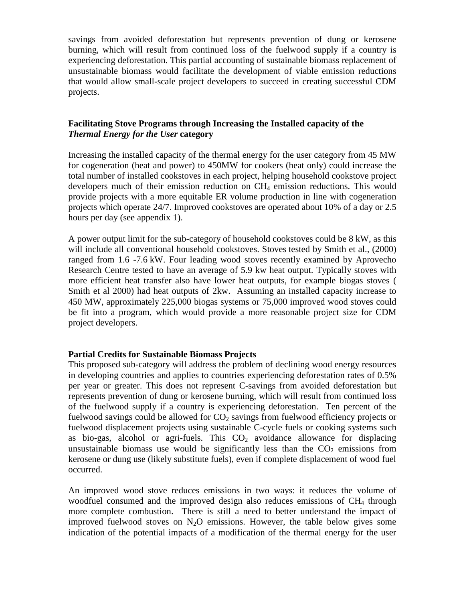savings from avoided deforestation but represents prevention of dung or kerosene burning, which will result from continued loss of the fuelwood supply if a country is experiencing deforestation. This partial accounting of sustainable biomass replacement of unsustainable biomass would facilitate the development of viable emission reductions that would allow small-scale project developers to succeed in creating successful CDM projects.

#### **Facilitating Stove Programs through Increasing the Installed capacity of the**  *Thermal Energy for the User* **category**

Increasing the installed capacity of the thermal energy for the user category from 45 MW for cogeneration (heat and power) to 450MW for cookers (heat only) could increase the total number of installed cookstoves in each project, helping household cookstove project developers much of their emission reduction on CH4 emission reductions. This would provide projects with a more equitable ER volume production in line with cogeneration projects which operate 24/7. Improved cookstoves are operated about 10% of a day or 2.5 hours per day (see appendix 1).

A power output limit for the sub-category of household cookstoves could be 8 kW, as this will include all conventional household cookstoves. Stoves tested by Smith et al., (2000) ranged from 1.6 -7.6 kW. Four leading wood stoves recently examined by Aprovecho Research Centre tested to have an average of 5.9 kw heat output. Typically stoves with more efficient heat transfer also have lower heat outputs, for example biogas stoves ( Smith et al 2000) had heat outputs of 2kw. Assuming an installed capacity increase to 450 MW, approximately 225,000 biogas systems or 75,000 improved wood stoves could be fit into a program, which would provide a more reasonable project size for CDM project developers.

#### **Partial Credits for Sustainable Biomass Projects**

This proposed sub-category will address the problem of declining wood energy resources in developing countries and applies to countries experiencing deforestation rates of 0.5% per year or greater. This does not represent C-savings from avoided deforestation but represents prevention of dung or kerosene burning, which will result from continued loss of the fuelwood supply if a country is experiencing deforestation. Ten percent of the fuelwood savings could be allowed for  $CO<sub>2</sub>$  savings from fuelwood efficiency projects or fuelwood displacement projects using sustainable C-cycle fuels or cooking systems such as bio-gas, alcohol or agri-fuels. This  $CO<sub>2</sub>$  avoidance allowance for displacing unsustainable biomass use would be significantly less than the  $CO<sub>2</sub>$  emissions from kerosene or dung use (likely substitute fuels), even if complete displacement of wood fuel occurred.

An improved wood stove reduces emissions in two ways: it reduces the volume of woodfuel consumed and the improved design also reduces emissions of CH4 through more complete combustion. There is still a need to better understand the impact of improved fuelwood stoves on  $N<sub>2</sub>O$  emissions. However, the table below gives some indication of the potential impacts of a modification of the thermal energy for the user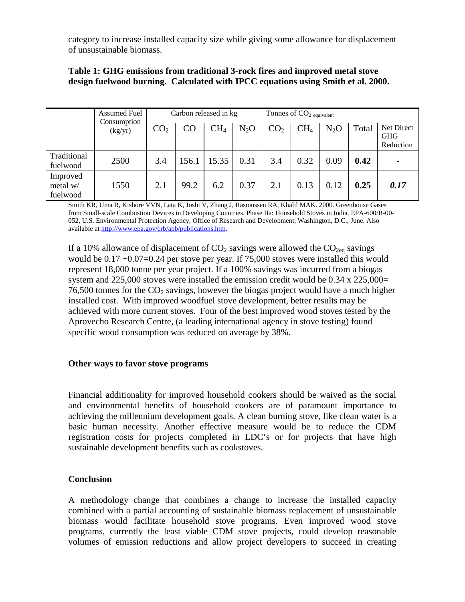category to increase installed capacity size while giving some allowance for displacement of unsustainable biomass.

|  | Table 1: GHG emissions from traditional 3-rock fires and improved metal stove    |
|--|----------------------------------------------------------------------------------|
|  | design fuelwood burning. Calculated with IPCC equations using Smith et al. 2000. |

|                                  | <b>Assumed Fuel</b>    | Carbon released in kg |       |                 | Tonnes of $CO2$ equivalent |                 |                 |        |       |                                       |
|----------------------------------|------------------------|-----------------------|-------|-----------------|----------------------------|-----------------|-----------------|--------|-------|---------------------------------------|
|                                  | Consumption<br>(kg/yr) | CO <sub>2</sub>       | CO    | CH <sub>4</sub> | $N_2O$                     | CO <sub>2</sub> | CH <sub>4</sub> | $N_2O$ | Total | Net Direct<br><b>GHG</b><br>Reduction |
| Traditional<br>fuelwood          | 2500                   | 3.4                   | 156.1 | 15.35           | 0.31                       | 3.4             | 0.32            | 0.09   | 0.42  |                                       |
| Improved<br>metal w/<br>fuelwood | 1550                   | 2.1                   | 99.2  | 6.2             | 0.37                       | 2.1             | 0.13            | 0.12   | 0.25  | 0.17                                  |

Smith KR, Uma R, Kishore VVN, Lata K, Joshi V, Zhang J, Rasmussen RA, Khalil MAK. 2000. Greenhouse Gases from Small-scale Combustion Devices in Developing Countries, Phase IIa: Household Stoves in India. EPA-600/R-00- 052, U.S. Environmental Protection Agency, Office of Research and Development, Washington, D.C., June. Also available at http://www.epa.gov/crb/apb/publications.htm.

If a 10% allowance of displacement of  $CO_2$  savings were allowed the  $CO_{2eq}$  savings would be  $0.17 + 0.07 = 0.24$  per stove per year. If 75,000 stoves were installed this would represent 18,000 tonne per year project. If a 100% savings was incurred from a biogas system and 225,000 stoves were installed the emission credit would be 0.34 x 225,000= 76,500 tonnes for the  $CO<sub>2</sub>$  savings, however the biogas project would have a much higher installed cost. With improved woodfuel stove development, better results may be achieved with more current stoves. Four of the best improved wood stoves tested by the Aprovecho Research Centre, (a leading international agency in stove testing) found specific wood consumption was reduced on average by 38%.

#### **Other ways to favor stove programs**

Financial additionality for improved household cookers should be waived as the social and environmental benefits of household cookers are of paramount importance to achieving the millennium development goals. A clean burning stove, like clean water is a basic human necessity. Another effective measure would be to reduce the CDM registration costs for projects completed in LDC's or for projects that have high sustainable development benefits such as cookstoves.

#### **Conclusion**

A methodology change that combines a change to increase the installed capacity combined with a partial accounting of sustainable biomass replacement of unsustainable biomass would facilitate household stove programs. Even improved wood stove programs, currently the least viable CDM stove projects, could develop reasonable volumes of emission reductions and allow project developers to succeed in creating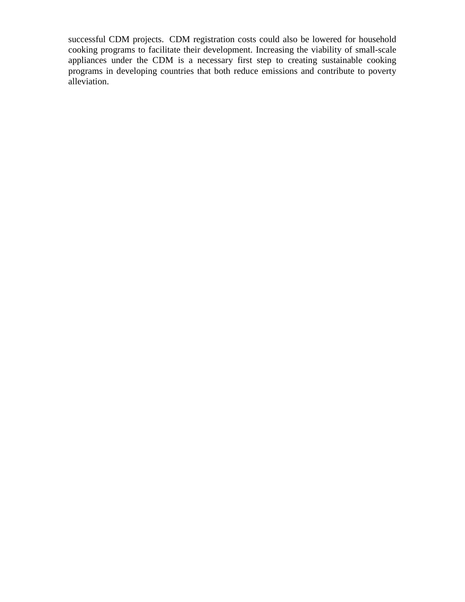successful CDM projects. CDM registration costs could also be lowered for household cooking programs to facilitate their development. Increasing the viability of small-scale appliances under the CDM is a necessary first step to creating sustainable cooking programs in developing countries that both reduce emissions and contribute to poverty alleviation.